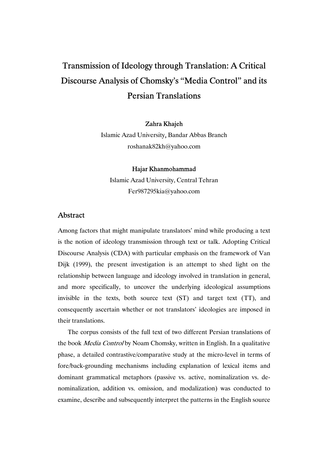# Transmission of Ideology through Translation: A Critical Discourse Analysis of Chomsky's "Media Control" and its Persian Translations

#### Zahra Khajeh

Islamic Azad University, Bandar Abbas Branch roshanak82kh@yahoo.com

#### Hajar Khanmohammad

Islamic Azad University, Central Tehran Fer987295kia@yahoo.com

### Abstract

Among factors that might manipulate translators' mind while producing a text is the notion of ideology transmission through text or talk. Adopting Critical Discourse Analysis (CDA) with particular emphasis on the framework of Van Dijk (1999), the present investigation is an attempt to shed light on the relationship between language and ideology involved in translation in general, and more specifically, to uncover the underlying ideological assumptions invisible in the texts, both source text (ST) and target text (TT), and consequently ascertain whether or not translators' ideologies are imposed in their translations.

The corpus consists of the full text of two different Persian translations of the book Media Control by Noam Chomsky, written in English. In a qualitative phase, a detailed contrastive/comparative study at the micro-level in terms of fore/back-grounding mechanisms including explanation of lexical items and dominant grammatical metaphors (passive vs. active, nominalization vs. denominalization, addition vs. omission, and modalization) was conducted to examine, describe and subsequently interpret the patterns in the English source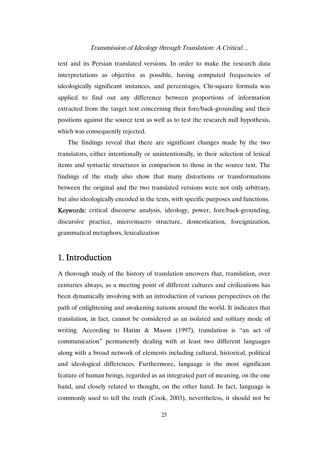text and its Persian translated versions. In order to make the research data interpretations as objective as possible, having computed frequencies of ideologically significant instances, and percentages, Chi-square formula was applied to find out any difference between proportions of information extracted from the target text concerning their fore/back-grounding and their positions against the source text as well as to test the research null hypothesis, which was consequently rejected.

The findings reveal that there are significant changes made by the two translators, either intentionally or unintentionally, in their selection of lexical items and syntactic structures in comparison to those in the source text. The findings of the study also show that many distortions or transformations between the original and the two translated versions were not only arbitrary, but also ideologically encoded in the texts, with specific purposes and functions. Keywords: critical discourse analysis, ideology, power, fore/back-grounding, discursive practice, micro/macro structure, domestication, foreignization, grammatical metaphors, lexicalization

# 1. Introduction

A thorough study of the history of translation uncovers that, translation, over centuries always, as a meeting point of different cultures and civilizations has been dynamically involving with an introduction of various perspectives on the path of enlightening and awakening nations around the world. It indicates that translation, in fact, cannot be considered as an isolated and solitary mode of writing. According to Hatim & Mason (1997), translation is "an act of communication" permanently dealing with at least two different languages along with a broad network of elements including cultural, historical, political and ideological differences. Furthermore, language is the most significant feature of human beings, regarded as an integrated part of meaning, on the one hand, and closely related to thought, on the other hand. In fact, language is commonly used to tell the truth (Cook, 2003), nevertheless, it should not be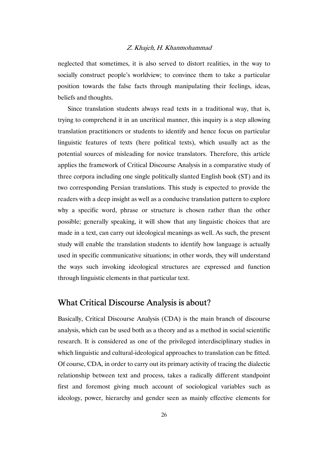neglected that sometimes, it is also served to distort realities, in the way to socially construct people's worldview; to convince them to take a particular position towards the false facts through manipulating their feelings, ideas, beliefs and thoughts.

Since translation students always read texts in a traditional way, that is, trying to comprehend it in an uncritical manner, this inquiry is a step allowing translation practitioners or students to identify and hence focus on particular linguistic features of texts (here political texts), which usually act as the potential sources of misleading for novice translators. Therefore, this article applies the framework of Critical Discourse Analysis in a comparative study of three corpora including one single politically slanted English book (ST) and its two corresponding Persian translations. This study is expected to provide the readers with a deep insight as well as a conducive translation pattern to explore why a specific word, phrase or structure is chosen rather than the other possible; generally speaking, it will show that any linguistic choices that are made in a text, can carry out ideological meanings as well. As such, the present study will enable the translation students to identify how language is actually used in specific communicative situations; in other words, they will understand the ways such invoking ideological structures are expressed and function through linguistic elements in that particular text.

# What Critical Discourse Analysis is about?

Basically, Critical Discourse Analysis (CDA) is the main branch of discourse analysis, which can be used both as a theory and as a method in social scientific research. It is considered as one of the privileged interdisciplinary studies in which linguistic and cultural-ideological approaches to translation can be fitted. Of course, CDA, in order to carry out its primary activity of tracing the dialectic relationship between text and process, takes a radically different standpoint first and foremost giving much account of sociological variables such as ideology, power, hierarchy and gender seen as mainly effective elements for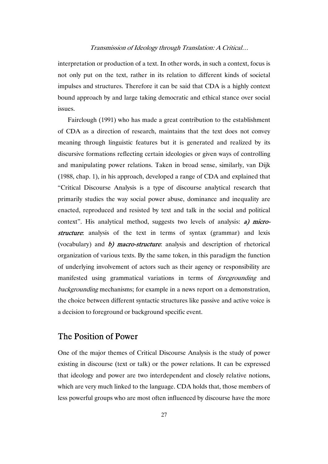interpretation or production of a text. In other words, in such a context, focus is not only put on the text, rather in its relation to different kinds of societal impulses and structures. Therefore it can be said that CDA is a highly context bound approach by and large taking democratic and ethical stance over social issues.

Fairclough (1991) who has made a great contribution to the establishment of CDA as a direction of research, maintains that the text does not convey meaning through linguistic features but it is generated and realized by its discursive formations reflecting certain ideologies or given ways of controlling and manipulating power relations. Taken in broad sense, similarly, van Dijk (1988, chap. 1), in his approach, developed a range of CDA and explained that "Critical Discourse Analysis is a type of discourse analytical research that primarily studies the way social power abuse, dominance and inequality are enacted, reproduced and resisted by text and talk in the social and political context". His analytical method, suggests two levels of analysis: a) microstructure: analysis of the text in terms of syntax (grammar) and lexis (vocabulary) and  $b$ ) macro-structure: analysis and description of rhetorical organization of various texts. By the same token, in this paradigm the function of underlying involvement of actors such as their agency or responsibility are manifested using grammatical variations in terms of foregrounding and backgrounding mechanisms; for example in a news report on a demonstration, the choice between different syntactic structures like passive and active voice is a decision to foreground or background specific event.

### The Position of Power

One of the major themes of Critical Discourse Analysis is the study of power existing in discourse (text or talk) or the power relations. It can be expressed that ideology and power are two interdependent and closely relative notions, which are very much linked to the language. CDA holds that, those members of less powerful groups who are most often influenced by discourse have the more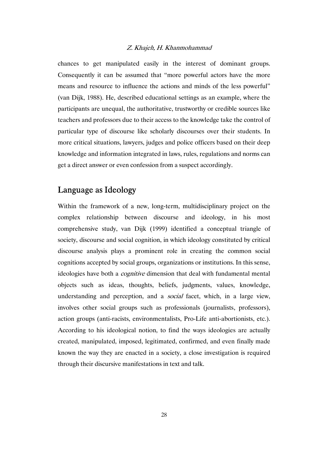chances to get manipulated easily in the interest of dominant groups. Consequently it can be assumed that "more powerful actors have the more means and resource to influence the actions and minds of the less powerful" (van Dijk, 1988). He, described educational settings as an example, where the participants are unequal, the authoritative, trustworthy or credible sources like teachers and professors due to their access to the knowledge take the control of particular type of discourse like scholarly discourses over their students. In more critical situations, lawyers, judges and police officers based on their deep knowledge and information integrated in laws, rules, regulations and norms can get a direct answer or even confession from a suspect accordingly.

# Language as Ideology

Within the framework of a new, long-term, multidisciplinary project on the complex relationship between discourse and ideology, in his most comprehensive study, van Dijk (1999) identified a conceptual triangle of society, discourse and social cognition, in which ideology constituted by critical discourse analysis plays a prominent role in creating the common social cognitions accepted by social groups, organizations or institutions. In this sense, ideologies have both a *cognitive* dimension that deal with fundamental mental objects such as ideas, thoughts, beliefs, judgments, values, knowledge, understanding and perception, and a *social* facet, which, in a large view, involves other social groups such as professionals (journalists, professors), action groups (anti-racists, environmentalists, Pro-Life anti-abortionists, etc.). According to his ideological notion, to find the ways ideologies are actually created, manipulated, imposed, legitimated, confirmed, and even finally made known the way they are enacted in a society, a close investigation is required through their discursive manifestations in text and talk.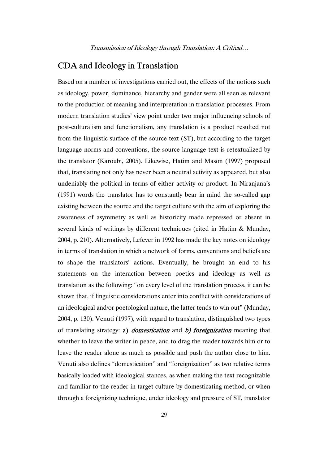# CDA and Ideology in Translation

Based on a number of investigations carried out, the effects of the notions such as ideology, power, dominance, hierarchy and gender were all seen as relevant to the production of meaning and interpretation in translation processes. From modern translation studies' view point under two major influencing schools of post-culturalism and functionalism, any translation is a product resulted not from the linguistic surface of the source text (ST), but according to the target language norms and conventions, the source language text is retextualized by the translator (Karoubi, 2005). Likewise, Hatim and Mason (1997) proposed that, translating not only has never been a neutral activity as appeared, but also undeniably the political in terms of either activity or product. In Niranjana's (1991) words the translator has to constantly bear in mind the so-called gap existing between the source and the target culture with the aim of exploring the awareness of asymmetry as well as historicity made repressed or absent in several kinds of writings by different techniques (cited in Hatim & Munday, 2004, p. 210). Alternatively, Lefever in 1992 has made the key notes on ideology in terms of translation in which a network of forms, conventions and beliefs are to shape the translators' actions. Eventually, he brought an end to his statements on the interaction between poetics and ideology as well as translation as the following: "on every level of the translation process, it can be shown that, if linguistic considerations enter into conflict with considerations of an ideological and/or poetological nature, the latter tends to win out" (Munday, 2004, p. 130). Venuti (1997), with regard to translation, distinguished two types of translating strategy: a) *domestication* and *b*) *foreignization* meaning that whether to leave the writer in peace, and to drag the reader towards him or to leave the reader alone as much as possible and push the author close to him. Venuti also defines "domestication" and "foreignization" as two relative terms basically loaded with ideological stances, as when making the text recognizable and familiar to the reader in target culture by domesticating method, or when through a foreignizing technique, under ideology and pressure of ST, translator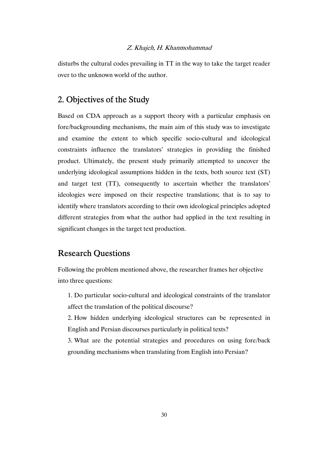disturbs the cultural codes prevailing in TT in the way to take the target reader over to the unknown world of the author.

# 2. Objectives of the Study

Based on CDA approach as a support theory with a particular emphasis on fore/backgrounding mechanisms, the main aim of this study was to investigate and examine the extent to which specific socio-cultural and ideological constraints influence the translators' strategies in providing the finished product. Ultimately, the present study primarily attempted to uncover the underlying ideological assumptions hidden in the texts, both source text (ST) and target text (TT), consequently to ascertain whether the translators' ideologies were imposed on their respective translations; that is to say to identify where translators according to their own ideological principles adopted different strategies from what the author had applied in the text resulting in significant changes in the target text production.

### Research Questions

Following the problem mentioned above, the researcher frames her objective into three questions:

1. Do particular socio-cultural and ideological constraints of the translator affect the translation of the political discourse?

2. How hidden underlying ideological structures can be represented in English and Persian discourses particularly in political texts?

3. What are the potential strategies and procedures on using fore/back grounding mechanisms when translating from English into Persian?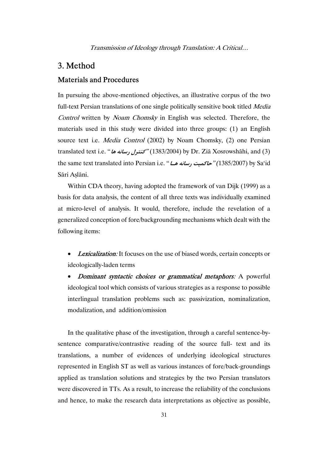# 3. Method

### Materials and Procedures

In pursuing the above-mentioned objectives, an illustrative corpus of the two full-text Persian translations of one single politically sensitive book titled Media Control written by Noam Chomsky in English was selected. Therefore, the materials used in this study were divided into three groups: (1) an English source text i.e. *Media Control* (2002) by Noam Chomsky, (2) one Persian translated text i.e. "**ها رسانه كنترل**) "1383/2004 (by Dr. Ziā Xosrowshāhi, and (3) the same text translated into Persian i.e. "**هـا رسانه حاكميت***)* "1385/2007 (by Sa'id Sāri Aslāni.

Within CDA theory, having adopted the framework of van Dijk (1999) as a basis for data analysis, the content of all three texts was individually examined at micro-level of analysis. It would, therefore, include the revelation of a generalized conception of fore/backgrounding mechanisms which dealt with the following items:

**Lexicalization:** It focuses on the use of biased words, certain concepts or ideologically-laden terms

• Dominant syntactic choices or grammatical metaphors: A powerful ideological tool which consists of various strategies as a response to possible interlingual translation problems such as: passivization, nominalization, modalization, and addition/omission

In the qualitative phase of the investigation, through a careful sentence-bysentence comparative/contrastive reading of the source full- text and its translations, a number of evidences of underlying ideological structures represented in English ST as well as various instances of fore/back-groundings applied as translation solutions and strategies by the two Persian translators were discovered in TTs. As a result, to increase the reliability of the conclusions and hence, to make the research data interpretations as objective as possible,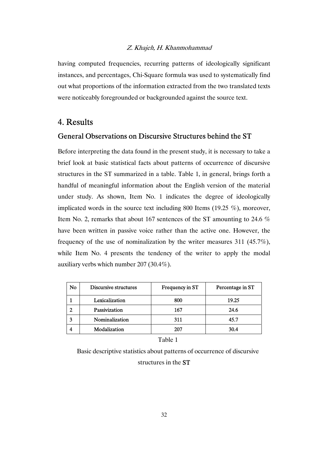having computed frequencies, recurring patterns of ideologically significant instances, and percentages, Chi-Square formula was used to systematically find out what proportions of the information extracted from the two translated texts were noticeably foregrounded or backgrounded against the source text.

### 4. Results

### General Observations on Discursive Structures behind the ST

Before interpreting the data found in the present study, it is necessary to take a brief look at basic statistical facts about patterns of occurrence of discursive structures in the ST summarized in a table. Table 1, in general, brings forth a handful of meaningful information about the English version of the material under study. As shown, Item No. 1 indicates the degree of ideologically implicated words in the source text including 800 Items (19.25 %), moreover, Item No. 2, remarks that about 167 sentences of the ST amounting to 24.6 % have been written in passive voice rather than the active one. However, the frequency of the use of nominalization by the writer measures 311 (45.7%), while Item No. 4 presents the tendency of the writer to apply the modal auxiliary verbs which number 207 (30.4%).

| No | Discursive structures | Frequency in ST | Percentage in ST |
|----|-----------------------|-----------------|------------------|
|    | Lexicalization        | 800             | 19.25            |
|    | Passivization         | 167             | 24.6             |
|    | Nominalization        | 311             | 45.7             |
|    | Modalization          | 207             | 30.4             |

Table 1

Basic descriptive statistics about patterns of occurrence of discursive

structures in the ST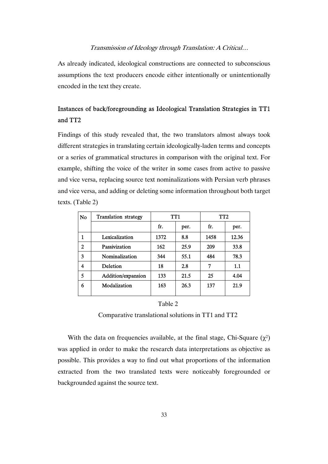As already indicated, ideological constructions are connected to subconscious assumptions the text producers encode either intentionally or unintentionally encoded in the text they create.

# Instances of back/foregrounding as Ideological Translation Strategies in TT1 and TT2

Findings of this study revealed that, the two translators almost always took different strategies in translating certain ideologically-laden terms and concepts or a series of grammatical structures in comparison with the original text. For example, shifting the voice of the writer in some cases from active to passive and vice versa, replacing source text nominalizations with Persian verb phrases and vice versa, and adding or deleting some information throughout both target texts. (Table 2)

| N <sub>0</sub> | <b>Translation strategy</b> | TT1  |      | TT <sub>2</sub> |       |
|----------------|-----------------------------|------|------|-----------------|-------|
|                |                             | fr.  | per. | fr.             | per.  |
| 1              | Lexicalization              | 1372 | 8.8  | 1458            | 12.36 |
| $\mathbf 2$    | Passivization               | 162  | 25.9 | 209             | 33.8  |
| 3              | Nominalization              | 344  | 55.1 | 484             | 78.3  |
| 4              | Deletion                    | 18   | 2.8  | 7               | 1.1   |
| 5              | Addition/expansion          | 133  | 21.5 | 25              | 4.04  |
| 6              | Modalization                | 163  | 26.3 | 137             | 21.9  |

#### Table 2

Comparative translational solutions in TT1 and TT2

With the data on frequencies available, at the final stage, Chi-Square  $(\chi^2)$ was applied in order to make the research data interpretations as objective as possible. This provides a way to find out what proportions of the information extracted from the two translated texts were noticeably foregrounded or backgrounded against the source text.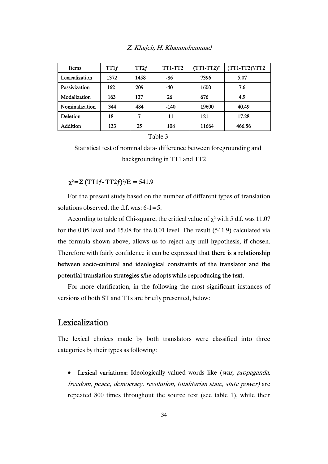|  | Z. Khajeh, H. Khanmohammad |
|--|----------------------------|
|--|----------------------------|

| Items           | TT1f | TT2f | <b>TT1-TT2</b> | $(TT1-TT2)^2$ | (TT1-TT2) <sup>2</sup> /TT2 |
|-----------------|------|------|----------------|---------------|-----------------------------|
| Lexicalization  | 1372 | 1458 | -86            | 7396          | 5.07                        |
| Passivization   | 162  | 209  | $-40$          | 1600          | 7.6                         |
| Modalization    | 163  | 137  | 26             | 676           | 4.9                         |
| Nominalization  | 344  | 484  | -140           | 19600         | 40.49                       |
| Deletion        | 18   | 7    | 11             | 121           | 17.28                       |
| <b>Addition</b> | 133  | 25   | 108            | 11664         | 466.56                      |

Table 3

Statistical test of nominal data- difference between foregrounding and backgrounding in TT1 and TT2

### $χ² = Σ (TT1f - TT2f)²/E = 541.9$

For the present study based on the number of different types of translation solutions observed, the d.f. was: 6-1=5.

According to table of Chi-square, the critical value of  $\chi^2$  with 5 d.f. was 11.07 for the 0.05 level and 15.08 for the 0.01 level. The result (541.9) calculated via the formula shown above, allows us to reject any null hypothesis, if chosen. Therefore with fairly confidence it can be expressed that there is a relationship between socio-cultural and ideological constraints of the translator and the potential translation strategies s/he adopts while reproducing the text.

For more clarification, in the following the most significant instances of versions of both ST and TTs are briefly presented, below:

### **Lexicalization**

The lexical choices made by both translators were classified into three categories by their types as following:

• Lexical variations: Ideologically valued words like (war, propaganda, freedom, peace, democracy, revolution, totalitarian state, state power) are repeated 800 times throughout the source text (see table 1), while their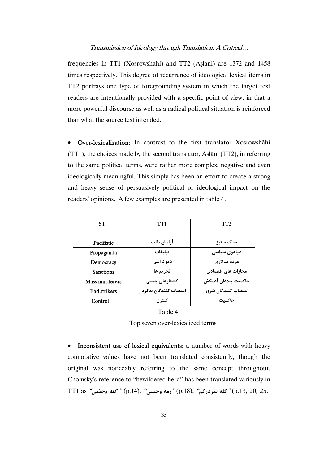frequencies in TT1 (Xosrowshāhi) and TT2 (Aṣlāni) are 1372 and 1458 times respectively. This degree of recurrence of ideological lexical items in TT2 portrays one type of foregrounding system in which the target text readers are intentionally provided with a specific point of view, in that a more powerful discourse as well as a radical political situation is reinforced than what the source text intended.

• Over-lexicalization: In contrast to the first translator Xosrowshāhi (TT1), the choices made by the second translator, Aṣlāni (TT2), in referring to the same political terms, were rather more complex, negative and even ideologically meaningful. This simply has been an effort to create a strong and heavy sense of persuasively political or ideological impact on the readers' opinions. A few examples are presented in table 4.

| SТ                    | TT1                    | TT2                 |  |
|-----------------------|------------------------|---------------------|--|
|                       |                        |                     |  |
| Pacifistic            | آرامش طلب              | جنگ ستيز            |  |
| Propaganda            | تىلىغات                | هیاهوی سیاسی        |  |
| Democracy             | دموکراسی               | مردم سالاري         |  |
| <b>Sanctions</b>      | تحريم ها               | مجازات های اقتصادی  |  |
| <b>Mass murderers</b> | کشتارهای جمعی          | حاكميت جلادان آدمكش |  |
| <b>Bad strikers</b>   | اعتصاب كنندگان بدكردار | اعتصاب كنندگان شرور |  |
| Control               | كنترل                  | حاكمت               |  |

Table 4 Top seven over-lexicalized terms

• Inconsistent use of lexical equivalents: a number of words with heavy connotative values have not been translated consistently, though the original was noticeably referring to the same concept throughout. Chomsky's reference to "bewildered herd" has been translated variously in 25, 20, .13,p" (**گله سردرگم**" ,(.18p" (**رمه وحشي**" ,(.14p " (**گله وحشي**" as 1TT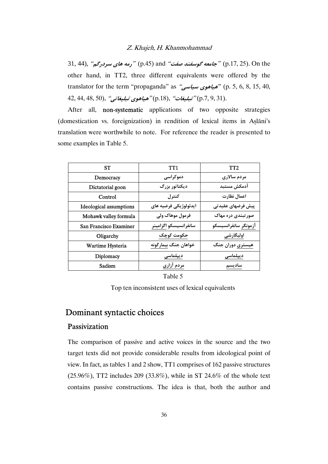the On .)25 .17,p" (**جامعه گوسفند صفت**" and) .45p" (**رمه هاي سردرگم**" ,(44 31, other hand, in TT2, three different equivalents were offered by the translator for the term "propaganda" as "**سياسي هياهوي**) *"*p. 5, 6, 8, 15, 40, .(31 9, .7,p" (**تبليغات**" ,(.18p" (**هياهوي تبليغاتي**" ,(50 48, 44, 42,

After all, non-systematic applications of two opposite strategies (domestication vs. foreignization) in rendition of lexical items in Aṣlāni's translation were worthwhile to note. For reference the reader is presented to some examples in Table 5.

| <b>ST</b>                      | TT1                   | TT <sub>2</sub>      |  |
|--------------------------------|-----------------------|----------------------|--|
| Democracy                      | دموکراسی              | مردم سالاري          |  |
| Dictatorial goon               | ديكتاتور بزرگ         | آدمكش مستبد          |  |
| Control                        | كنترل                 | اعمال نظارت          |  |
| <b>Ideological assumptions</b> | ايدئولوژيكي فرضيه هاي | پیش فرضهای عقیدتی    |  |
| Mohawk valley formula          | فرمول موهاک ولی       | صور تبندی دره مهاک   |  |
| San Francisco Examiner         | سانفرانسيسكو اگزامينر | آزمونگر سانفرانسیسکو |  |
| Oligarchy                      | حکومت کوچک            | اوليگارشي            |  |
| Wartime Hysteria               | خواهان جنگ بيمارگونه  | هیستری دوران جنگ     |  |
| Diplomacy                      | ديپلماسى              | ديپلماسى             |  |
| Sadism                         | مردم آزاری            | ساديسم               |  |

Table 5

Top ten inconsistent uses of lexical equivalents

# Dominant syntactic choices

### Passivization

The comparison of passive and active voices in the source and the two target texts did not provide considerable results from ideological point of view. In fact, as tables 1 and 2 show, TT1 comprises of 162 passive structures (25.96%), TT2 includes 209 (33.8%), while in ST 24.6% of the whole text contains passive constructions. The idea is that, both the author and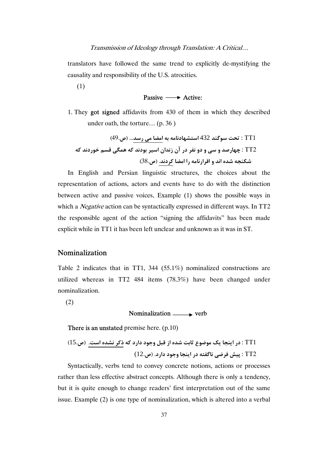translators have followed the same trend to explicitly de-mystifying the causality and responsibility of the U.S. atrocities.

(1)

#### Passive  $\longrightarrow$  Active:

1. They got signed affidavits from 430 of them in which they described under oath, the torture… (p. 36 )

 1TT : **تحت سوگند** 432 **استشهادنامه به امضا مي رسد... (ص**49**.)** 2TT : **چهارصد و سي و دو نفر در آن زندان اسير بودند كه همگي قسم خوردند كه شكنجه شده اند و اقرارنامه را امضا كردند. (ص**38**.)** 

In English and Persian linguistic structures, the choices about the representation of actions, actors and events have to do with the distinction between active and passive voices. Example (1) shows the possible ways in which a *Negative* action can be syntactically expressed in different ways. In TT2 the responsible agent of the action "signing the affidavits" has been made explicit while in TT1 it has been left unclear and unknown as it was in ST.

#### Nominalization

Table 2 indicates that in TT1, 344 (55.1%) nominalized constructions are utilized whereas in TT2 484 items (78.3%) have been changed under nominalization.

(2)

### Nominalization  $\longrightarrow$  verb

There is an unstated premise here. (p.10)

1TT : **در اينجا يك موضوع ثابت شده از قبل وجود دارد كه ذكر نشده است. (ص**15**.)** 2TT : **پيش فرضي ناگفته در اينجا وجود دارد. (ص**12**.**)

Syntactically, verbs tend to convey concrete notions, actions or processes rather than less effective abstract concepts. Although there is only a tendency, but it is quite enough to change readers' first interpretation out of the same issue. Example (2) is one type of nominalization, which is altered into a verbal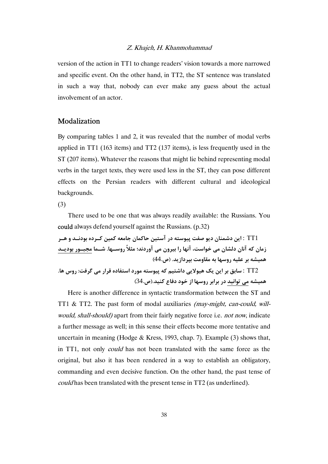version of the action in TT1 to change readers' vision towards a more narrowed and specific event. On the other hand, in TT2, the ST sentence was translated in such a way that, nobody can ever make any guess about the actual involvement of an actor.

#### Modalization

By comparing tables 1 and 2, it was revealed that the number of modal verbs applied in TT1 (163 items) and TT2 (137 items), is less frequently used in the ST (207 items). Whatever the reasons that might lie behind representing modal verbs in the target texts, they were used less in the ST, they can pose different effects on the Persian readers with different cultural and ideological backgrounds.

(3)

 There used to be one that was always readily available: the Russians. You could always defend yourself against the Russians. (p.32)

1TT : **اين دشمنان ديو صفت پيوسته در آستين حاكمان جامعه كمين كـرده بودنـد و هـر زمان كه آنان دلشان مي خواست، آنها را بيرون مي آوردند؛ مثلاً روسـها. شـما مجبـور بوديـد هميشه بر عليه روسها به مقاومت بپردازيد. (ص**44**.)**

2TT : **سابق بر اين يك هيولايي داشتيم كه پيوسته مورد استفاده قرار مي گرفت: روس ها. هميشه مي توانيد در برابر روسها از خود دفاع كنيد.(ص**34**.)**

Here is another difference in syntactic transformation between the ST and TT1 & TT2. The past form of modal auxiliaries *(may-might, can-could, will*would, shall-should) apart from their fairly negative force i.e. not now, indicate a further message as well; in this sense their effects become more tentative and uncertain in meaning (Hodge & Kress, 1993, chap. 7). Example (3) shows that, in TT1, not only could has not been translated with the same force as the original, but also it has been rendered in a way to establish an obligatory, commanding and even decisive function. On the other hand, the past tense of could has been translated with the present tense in TT2 (as underlined).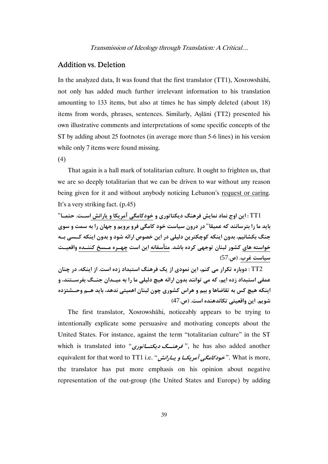#### Addition vs. Deletion

In the analyzed data, It was found that the first translator (TT1), Xosrowshāhi, not only has added much further irrelevant information to his translation amounting to 133 items, but also at times he has simply deleted (about 18) items from words, phrases, sentences. Similarly, Aslāni (TT2) presented his own illustrative comments and interpretations of some specific concepts of the ST by adding about 25 footnotes (in average more than 5-6 lines) in his version while only 7 items were found missing.

(4)

That again is a hall mark of totalitarian culture. It ought to frighten us, that we are so deeply totalitarian that we can be driven to war without any reason being given for it and without anybody noticing Lebanon's request or caring. It's a very striking fact. (p.45)

1TT **: اين اوج نماد نمايش فرهنگ ديكتاتوري و خودكامگي آمريكا و يارانش اسـت. حتمـا**" باید ما را بترسانند که عمیقا" در درون سیاست خود کامگی فرو برویم و جهان را به سمت و سوی **جنگ بكشانيم، بدون اينكه كوچكترين دليلي در اين خصوص ارائه شود و بدون اينكه كـسي بـه خواسته هاي كشور لبنان توجهي كرده باشد. متأسفانه اين است چهـره مـسخ كننـده واقعيـت سياست غرب. (ص**57**.)** 

2TT **: دوباره تكرار مي كنم، اين نمودي از يك فرهنگ استبداد زده است . از اينكه، در چنان عمقي استبداد زده ايم، كه مي توانند بدون ارائه هيچ دليلي ما را به ميـدان جنـگ بفرسـتند، و اينكه هيچ كس به تقاضاها و بيم و هراس كشوري چون لبنان اهميتي ندهد، بايد هـم وحـشتزده شويم. اين واقعيتي تكاندهنده است. (ص**47**.)** 

The first translator, Xosrowshāhi, noticeably appears to be trying to intentionally explicate some persuasive and motivating concepts about the United States. For instance, against the term "totalitarian culture" in the ST which is translated into "**ديكتــاتوري فرهنــگ**" , he has also added another equivalent for that word to TT1 i.e. "**يـارانش <sup>و</sup> آمريكـا خودكامگي**" . What is more, the translator has put more emphasis on his opinion about negative representation of the out-group (the United States and Europe) by adding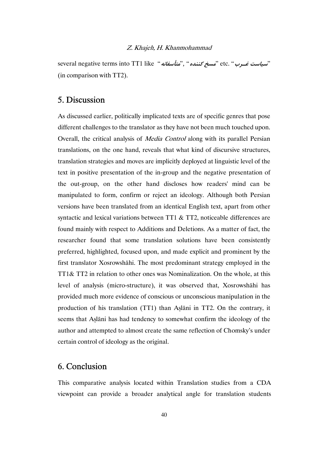several negative terms into TT1 like "**متأسفانه**"," **كننده مسخ** "etc. "**غـرب سياست** " (in comparison with TT2).

## 5. Discussion

As discussed earlier, politically implicated texts are of specific genres that pose different challenges to the translator as they have not been much touched upon. Overall, the critical analysis of Media Control along with its parallel Persian translations, on the one hand, reveals that what kind of discursive structures, translation strategies and moves are implicitly deployed at linguistic level of the text in positive presentation of the in-group and the negative presentation of the out-group, on the other hand discloses how readers' mind can be manipulated to form, confirm or reject an ideology. Although both Persian versions have been translated from an identical English text, apart from other syntactic and lexical variations between TT1 & TT2, noticeable differences are found mainly with respect to Additions and Deletions. As a matter of fact, the researcher found that some translation solutions have been consistently preferred, highlighted, focused upon, and made explicit and prominent by the first translator Xosrowshāhi. The most predominant strategy employed in the TT1& TT2 in relation to other ones was Nominalization. On the whole, at this level of analysis (micro-structure), it was observed that, Xosrowshāhi has provided much more evidence of conscious or unconscious manipulation in the production of his translation (TT1) than Aṣlāni in TT2. On the contrary, it seems that Aṣlāni has had tendency to somewhat confirm the ideology of the author and attempted to almost create the same reflection of Chomsky's under certain control of ideology as the original.

# 6. Conclusion

This comparative analysis located within Translation studies from a CDA viewpoint can provide a broader analytical angle for translation students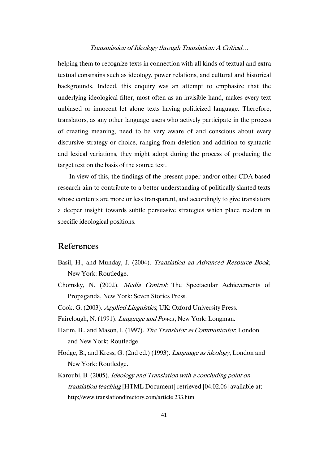helping them to recognize texts in connection with all kinds of textual and extra textual constrains such as ideology, power relations, and cultural and historical backgrounds. Indeed, this enquiry was an attempt to emphasize that the underlying ideological filter, most often as an invisible hand, makes every text unbiased or innocent let alone texts having politicized language. Therefore, translators, as any other language users who actively participate in the process of creating meaning, need to be very aware of and conscious about every discursive strategy or choice, ranging from deletion and addition to syntactic and lexical variations, they might adopt during the process of producing the target text on the basis of the source text.

 In view of this, the findings of the present paper and/or other CDA based research aim to contribute to a better understanding of politically slanted texts whose contents are more or less transparent, and accordingly to give translators a deeper insight towards subtle persuasive strategies which place readers in specific ideological positions.

### References

- Basil, H., and Munday, J. (2004). Translation an Advanced Resource Book, New York: Routledge.
- Chomsky, N. (2002). Media Control: The Spectacular Achievements of Propaganda, New York: Seven Stories Press.
- Cook, G. (2003). Applied Linguistics, UK: Oxford University Press.

Fairclough, N. (1991). Language and Power, New York: Longman.

- Hatim, B., and Mason, I. (1997). The Translator as Communicator, London and New York: Routledge.
- Hodge, B., and Kress, G. (2nd ed.) (1993). Language as ideology, London and New York: Routledge.
- Karoubi, B. (2005). Ideology and Translation with a concluding point on translation teaching [HTML Document] retrieved [04.02.06] available at: http://www.translationdirectory.com/article 233.htm